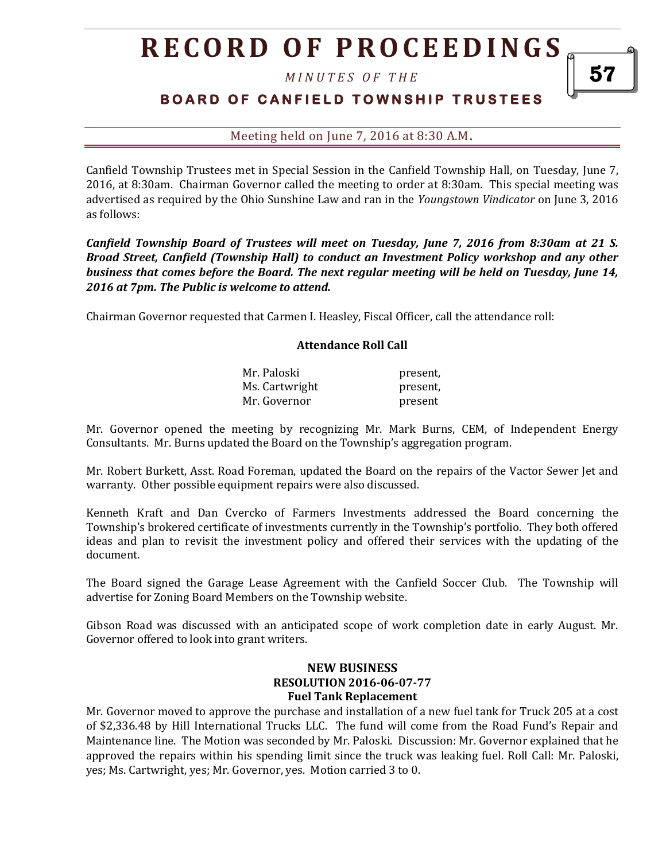# **R E C O R D O F P R O C E E D I N GS**

*M I N U T E S O F T H E* 

## **BOARD OF CANFIELD TOWNSHIP TRUSTEES**

Meeting held on June 7, 2016 at 8:30 A.M**.**

Canfield Township Trustees met in Special Session in the Canfield Township Hall, on Tuesday, June 7, 2016, at 8:30am. Chairman Governor called the meeting to order at 8:30am. This special meeting was advertised as required by the Ohio Sunshine Law and ran in the *Youngstown Vindicator* on June 3, 2016 as follows:

*Canfield Township Board of Trustees will meet on Tuesday, June 7, 2016 from 8:30am at 21 S. Broad Street, Canfield (Township Hall) to conduct an Investment Policy workshop and any other business that comes before the Board. The next regular meeting will be held on Tuesday, June 14, 2016 at 7pm. The Public is welcome to attend.*

Chairman Governor requested that Carmen I. Heasley, Fiscal Officer, call the attendance roll:

#### **Attendance Roll Call**

| Mr. Paloski    | present, |
|----------------|----------|
| Ms. Cartwright | present, |
| Mr. Governor   | present  |

Mr. Governor opened the meeting by recognizing Mr. Mark Burns, CEM, of Independent Energy Consultants. Mr. Burns updated the Board on the Township's aggregation program.

Mr. Robert Burkett, Asst. Road Foreman, updated the Board on the repairs of the Vactor Sewer Jet and warranty. Other possible equipment repairs were also discussed.

Kenneth Kraft and Dan Cvercko of Farmers Investments addressed the Board concerning the Township's brokered certificate of investments currently in the Township's portfolio. They both offered ideas and plan to revisit the investment policy and offered their services with the updating of the document.

The Board signed the Garage Lease Agreement with the Canfield Soccer Club. The Township will advertise for Zoning Board Members on the Township website.

Gibson Road was discussed with an anticipated scope of work completion date in early August. Mr. Governor offered to look into grant writers.

### **NEW BUSINESS RESOLUTION 2016-06-07-77 Fuel Tank Replacement**

Mr. Governor moved to approve the purchase and installation of a new fuel tank for Truck 205 at a cost of \$2,336.48 by Hill International Trucks LLC. The fund will come from the Road Fund's Repair and Maintenance line. The Motion was seconded by Mr. Paloski. Discussion: Mr. Governor explained that he approved the repairs within his spending limit since the truck was leaking fuel. Roll Call: Mr. Paloski, yes; Ms. Cartwright, yes; Mr. Governor, yes. Motion carried 3 to 0.

57